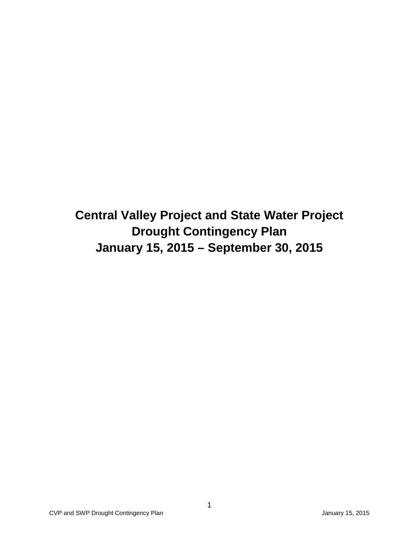**Central Valley Project and State Water Project Drought Contingency Plan January 15, 2015 – September 30, 2015**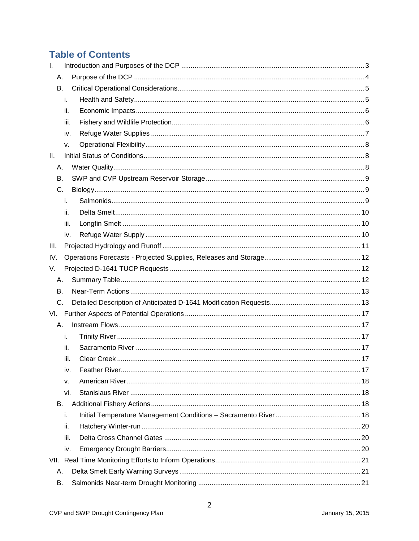## **Table of Contents**

| $\mathbf{L}$ |      |  |
|--------------|------|--|
| Α.           |      |  |
| В.           |      |  |
|              | i.   |  |
|              | ii.  |  |
|              | iii. |  |
|              | iv.  |  |
|              | ν.   |  |
| Ш.           |      |  |
| Α.           |      |  |
| В.           |      |  |
| C.           |      |  |
|              | i.   |  |
|              | ii.  |  |
|              | iii. |  |
|              | iv.  |  |
| III.         |      |  |
| IV.          |      |  |
| V.           |      |  |
| А.           |      |  |
| В.           |      |  |
| C.           |      |  |
|              |      |  |
| Α.           |      |  |
|              | i.   |  |
|              | ii.  |  |
|              | iii. |  |
|              | iv.  |  |
|              | v.   |  |
|              | vi.  |  |
| В.           |      |  |
|              | i.   |  |
|              | ii.  |  |
|              | iii. |  |
|              | iv.  |  |
|              |      |  |
| А.           |      |  |
| В.           |      |  |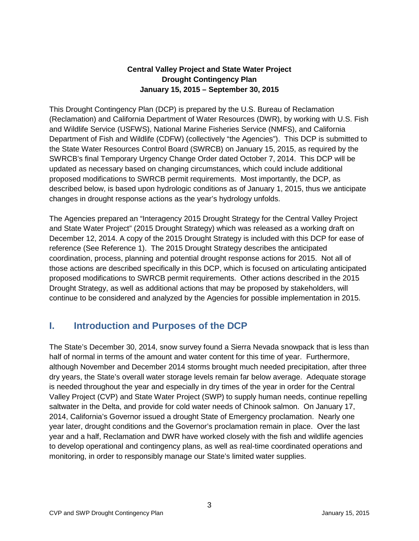### **Central Valley Project and State Water Project Drought Contingency Plan January 15, 2015 – September 30, 2015**

This Drought Contingency Plan (DCP) is prepared by the U.S. Bureau of Reclamation (Reclamation) and California Department of Water Resources (DWR), by working with U.S. Fish and Wildlife Service (USFWS), National Marine Fisheries Service (NMFS), and California Department of Fish and Wildlife (CDFW) (collectively "the Agencies"). This DCP is submitted to the State Water Resources Control Board (SWRCB) on January 15, 2015, as required by the SWRCB's final Temporary Urgency Change Order dated October 7, 2014. This DCP will be updated as necessary based on changing circumstances, which could include additional proposed modifications to SWRCB permit requirements. Most importantly, the DCP, as described below, is based upon hydrologic conditions as of January 1, 2015, thus we anticipate changes in drought response actions as the year's hydrology unfolds.

The Agencies prepared an "Interagency 2015 Drought Strategy for the Central Valley Project and State Water Project" (2015 Drought Strategy) which was released as a working draft on December 12, 2014. A copy of the 2015 Drought Strategy is included with this DCP for ease of reference (See Reference 1). The 2015 Drought Strategy describes the anticipated coordination, process, planning and potential drought response actions for 2015. Not all of those actions are described specifically in this DCP, which is focused on articulating anticipated proposed modifications to SWRCB permit requirements. Other actions described in the 2015 Drought Strategy, as well as additional actions that may be proposed by stakeholders, will continue to be considered and analyzed by the Agencies for possible implementation in 2015.

## <span id="page-2-0"></span>**I. Introduction and Purposes of the DCP**

The State's December 30, 2014, snow survey found a Sierra Nevada snowpack that is less than half of normal in terms of the amount and water content for this time of year. Furthermore, although November and December 2014 storms brought much needed precipitation, after three dry years, the State's overall water storage levels remain far below average. Adequate storage is needed throughout the year and especially in dry times of the year in order for the Central Valley Project (CVP) and State Water Project (SWP) to supply human needs, continue repelling saltwater in the Delta, and provide for cold water needs of Chinook salmon. On January 17, 2014, California's Governor issued a drought State of Emergency proclamation. Nearly one year later, drought conditions and the Governor's proclamation remain in place. Over the last year and a half, Reclamation and DWR have worked closely with the fish and wildlife agencies to develop operational and contingency plans, as well as real-time coordinated operations and monitoring, in order to responsibly manage our State's limited water supplies.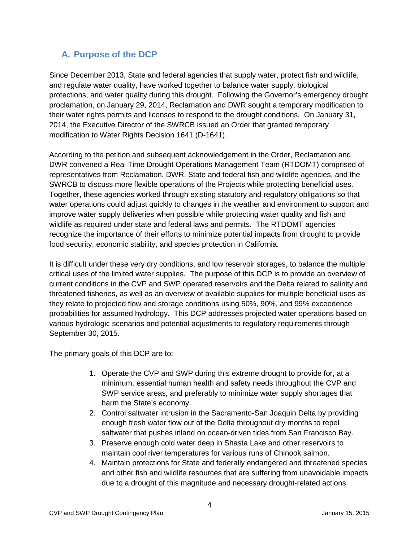## <span id="page-3-0"></span>**A. Purpose of the DCP**

Since December 2013, State and federal agencies that supply water, protect fish and wildlife, and regulate water quality, have worked together to balance water supply, biological protections, and water quality during this drought. Following the Governor's emergency drought proclamation, on January 29, 2014, Reclamation and DWR sought a temporary modification to their water rights permits and licenses to respond to the drought conditions. On January 31, 2014, the Executive Director of the SWRCB issued an Order that granted temporary modification to Water Rights Decision 1641 (D-1641).

According to the petition and subsequent acknowledgement in the Order, Reclamation and DWR convened a Real Time Drought Operations Management Team (RTDOMT) comprised of representatives from Reclamation, DWR, State and federal fish and wildlife agencies, and the SWRCB to discuss more flexible operations of the Projects while protecting beneficial uses. Together, these agencies worked through existing statutory and regulatory obligations so that water operations could adjust quickly to changes in the weather and environment to support and improve water supply deliveries when possible while protecting water quality and fish and wildlife as required under state and federal laws and permits. The RTDOMT agencies recognize the importance of their efforts to minimize potential impacts from drought to provide food security, economic stability, and species protection in California.

It is difficult under these very dry conditions, and low reservoir storages, to balance the multiple critical uses of the limited water supplies. The purpose of this DCP is to provide an overview of current conditions in the CVP and SWP operated reservoirs and the Delta related to salinity and threatened fisheries, as well as an overview of available supplies for multiple beneficial uses as they relate to projected flow and storage conditions using 50%, 90%, and 99% exceedence probabilities for assumed hydrology. This DCP addresses projected water operations based on various hydrologic scenarios and potential adjustments to regulatory requirements through September 30, 2015.

The primary goals of this DCP are to:

- 1. Operate the CVP and SWP during this extreme drought to provide for, at a minimum, essential human health and safety needs throughout the CVP and SWP service areas, and preferably to minimize water supply shortages that harm the State's economy.
- 2. Control saltwater intrusion in the Sacramento-San Joaquin Delta by providing enough fresh water flow out of the Delta throughout dry months to repel saltwater that pushes inland on ocean-driven tides from San Francisco Bay.
- 3. Preserve enough cold water deep in Shasta Lake and other reservoirs to maintain cool river temperatures for various runs of Chinook salmon.
- 4. Maintain protections for State and federally endangered and threatened species and other fish and wildlife resources that are suffering from unavoidable impacts due to a drought of this magnitude and necessary drought‐related actions.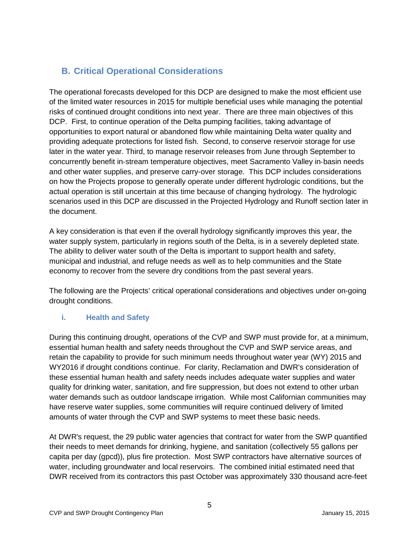## <span id="page-4-0"></span>**B. Critical Operational Considerations**

The operational forecasts developed for this DCP are designed to make the most efficient use of the limited water resources in 2015 for multiple beneficial uses while managing the potential risks of continued drought conditions into next year. There are three main objectives of this DCP. First, to continue operation of the Delta pumping facilities, taking advantage of opportunities to export natural or abandoned flow while maintaining Delta water quality and providing adequate protections for listed fish. Second, to conserve reservoir storage for use later in the water year. Third, to manage reservoir releases from June through September to concurrently benefit in‐stream temperature objectives, meet Sacramento Valley in‐basin needs and other water supplies, and preserve carry-over storage. This DCP includes considerations on how the Projects propose to generally operate under different hydrologic conditions, but the actual operation is still uncertain at this time because of changing hydrology. The hydrologic scenarios used in this DCP are discussed in the Projected Hydrology and Runoff section later in the document.

A key consideration is that even if the overall hydrology significantly improves this year, the water supply system, particularly in regions south of the Delta, is in a severely depleted state. The ability to deliver water south of the Delta is important to support health and safety, municipal and industrial, and refuge needs as well as to help communities and the State economy to recover from the severe dry conditions from the past several years.

The following are the Projects' critical operational considerations and objectives under on-going drought conditions.

### <span id="page-4-1"></span>**i. Health and Safety**

During this continuing drought, operations of the CVP and SWP must provide for, at a minimum, essential human health and safety needs throughout the CVP and SWP service areas, and retain the capability to provide for such minimum needs throughout water year (WY) 2015 and WY2016 if drought conditions continue. For clarity, Reclamation and DWR's consideration of these essential human health and safety needs includes adequate water supplies and water quality for drinking water, sanitation, and fire suppression, but does not extend to other urban water demands such as outdoor landscape irrigation. While most Californian communities may have reserve water supplies, some communities will require continued delivery of limited amounts of water through the CVP and SWP systems to meet these basic needs.

At DWR's request, the 29 public water agencies that contract for water from the SWP quantified their needs to meet demands for drinking, hygiene, and sanitation (collectively 55 gallons per capita per day (gpcd)), plus fire protection. Most SWP contractors have alternative sources of water, including groundwater and local reservoirs. The combined initial estimated need that DWR received from its contractors this past October was approximately 330 thousand acre‐feet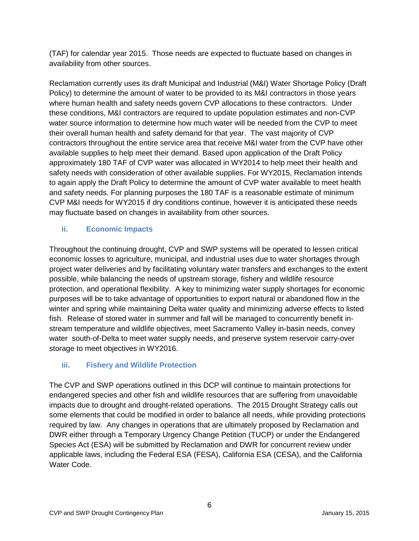(TAF) for calendar year 2015. Those needs are expected to fluctuate based on changes in availability from other sources.

Reclamation currently uses its draft Municipal and Industrial (M&I) Water Shortage Policy (Draft Policy) to determine the amount of water to be provided to its M&I contractors in those years where human health and safety needs govern CVP allocations to these contractors. Under these conditions, M&I contractors are required to update population estimates and non-CVP water source information to determine how much water will be needed from the CVP to meet their overall human health and safety demand for that year. The vast majority of CVP contractors throughout the entire service area that receive M&I water from the CVP have other available supplies to help meet their demand. Based upon application of the Draft Policy approximately 180 TAF of CVP water was allocated in WY2014 to help meet their health and safety needs with consideration of other available supplies. For WY2015, Reclamation intends to again apply the Draft Policy to determine the amount of CVP water available to meet health and safety needs. For planning purposes the 180 TAF is a reasonable estimate of minimum CVP M&I needs for WY2015 if dry conditions continue, however it is anticipated these needs may fluctuate based on changes in availability from other sources.

### <span id="page-5-0"></span>**ii. Economic Impacts**

Throughout the continuing drought, CVP and SWP systems will be operated to lessen critical economic losses to agriculture, municipal, and industrial uses due to water shortages through project water deliveries and by facilitating voluntary water transfers and exchanges to the extent possible, while balancing the needs of upstream storage, fishery and wildlife resource protection, and operational flexibility. A key to minimizing water supply shortages for economic purposes will be to take advantage of opportunities to export natural or abandoned flow in the winter and spring while maintaining Delta water quality and minimizing adverse effects to listed fish. Release of stored water in summer and fall will be managed to concurrently benefit instream temperature and wildlife objectives, meet Sacramento Valley in-basin needs, convey water south-of-Delta to meet water supply needs, and preserve system reservoir carry-over storage to meet objectives in WY2016.

### <span id="page-5-1"></span>**iii. Fishery and Wildlife Protection**

The CVP and SWP operations outlined in this DCP will continue to maintain protections for endangered species and other fish and wildlife resources that are suffering from unavoidable impacts due to drought and drought-related operations. The 2015 Drought Strategy calls out some elements that could be modified in order to balance all needs, while providing protections required by law. Any changes in operations that are ultimately proposed by Reclamation and DWR either through a Temporary Urgency Change Petition (TUCP) or under the Endangered Species Act (ESA) will be submitted by Reclamation and DWR for concurrent review under applicable laws, including the Federal ESA (FESA), California ESA (CESA), and the California Water Code.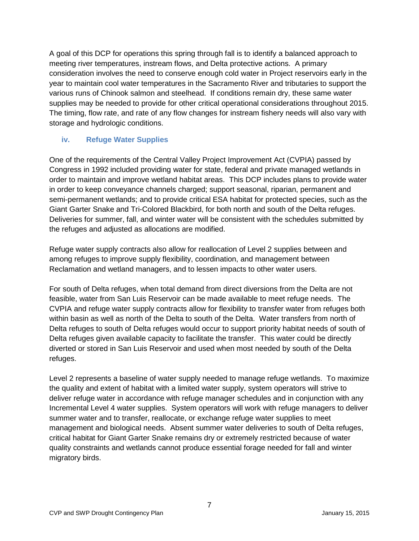A goal of this DCP for operations this spring through fall is to identify a balanced approach to meeting river temperatures, instream flows, and Delta protective actions. A primary consideration involves the need to conserve enough cold water in Project reservoirs early in the year to maintain cool water temperatures in the Sacramento River and tributaries to support the various runs of Chinook salmon and steelhead. If conditions remain dry, these same water supplies may be needed to provide for other critical operational considerations throughout 2015. The timing, flow rate, and rate of any flow changes for instream fishery needs will also vary with storage and hydrologic conditions.

### <span id="page-6-0"></span>**iv. Refuge Water Supplies**

One of the requirements of the Central Valley Project Improvement Act (CVPIA) passed by Congress in 1992 included providing water for state, federal and private managed wetlands in order to maintain and improve wetland habitat areas. This DCP includes plans to provide water in order to keep conveyance channels charged; support seasonal, riparian, permanent and semi-permanent wetlands; and to provide critical ESA habitat for protected species, such as the Giant Garter Snake and Tri-Colored Blackbird, for both north and south of the Delta refuges. Deliveries for summer, fall, and winter water will be consistent with the schedules submitted by the refuges and adjusted as allocations are modified.

Refuge water supply contracts also allow for reallocation of Level 2 supplies between and among refuges to improve supply flexibility, coordination, and management between Reclamation and wetland managers, and to lessen impacts to other water users.

For south of Delta refuges, when total demand from direct diversions from the Delta are not feasible, water from San Luis Reservoir can be made available to meet refuge needs. The CVPIA and refuge water supply contracts allow for flexibility to transfer water from refuges both within basin as well as north of the Delta to south of the Delta. Water transfers from north of Delta refuges to south of Delta refuges would occur to support priority habitat needs of south of Delta refuges given available capacity to facilitate the transfer. This water could be directly diverted or stored in San Luis Reservoir and used when most needed by south of the Delta refuges.

Level 2 represents a baseline of water supply needed to manage refuge wetlands. To maximize the quality and extent of habitat with a limited water supply, system operators will strive to deliver refuge water in accordance with refuge manager schedules and in conjunction with any Incremental Level 4 water supplies. System operators will work with refuge managers to deliver summer water and to transfer, reallocate, or exchange refuge water supplies to meet management and biological needs. Absent summer water deliveries to south of Delta refuges, critical habitat for Giant Garter Snake remains dry or extremely restricted because of water quality constraints and wetlands cannot produce essential forage needed for fall and winter migratory birds.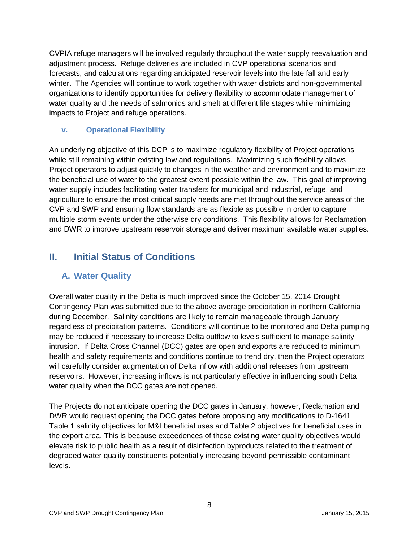CVPIA refuge managers will be involved regularly throughout the water supply reevaluation and adjustment process. Refuge deliveries are included in CVP operational scenarios and forecasts, and calculations regarding anticipated reservoir levels into the late fall and early winter. The Agencies will continue to work together with water districts and non-governmental organizations to identify opportunities for delivery flexibility to accommodate management of water quality and the needs of salmonids and smelt at different life stages while minimizing impacts to Project and refuge operations.

### <span id="page-7-0"></span>**v. Operational Flexibility**

An underlying objective of this DCP is to maximize regulatory flexibility of Project operations while still remaining within existing law and regulations. Maximizing such flexibility allows Project operators to adjust quickly to changes in the weather and environment and to maximize the beneficial use of water to the greatest extent possible within the law. This goal of improving water supply includes facilitating water transfers for municipal and industrial, refuge, and agriculture to ensure the most critical supply needs are met throughout the service areas of the CVP and SWP and ensuring flow standards are as flexible as possible in order to capture multiple storm events under the otherwise dry conditions. This flexibility allows for Reclamation and DWR to improve upstream reservoir storage and deliver maximum available water supplies.

## <span id="page-7-2"></span><span id="page-7-1"></span>**II. Initial Status of Conditions**

## **A. Water Quality**

Overall water quality in the Delta is much improved since the October 15, 2014 Drought Contingency Plan was submitted due to the above average precipitation in northern California during December. Salinity conditions are likely to remain manageable through January regardless of precipitation patterns. Conditions will continue to be monitored and Delta pumping may be reduced if necessary to increase Delta outflow to levels sufficient to manage salinity intrusion. If Delta Cross Channel (DCC) gates are open and exports are reduced to minimum health and safety requirements and conditions continue to trend dry, then the Project operators will carefully consider augmentation of Delta inflow with additional releases from upstream reservoirs. However, increasing inflows is not particularly effective in influencing south Delta water quality when the DCC gates are not opened.

The Projects do not anticipate opening the DCC gates in January, however, Reclamation and DWR would request opening the DCC gates before proposing any modifications to D-1641 Table 1 salinity objectives for M&I beneficial uses and Table 2 objectives for beneficial uses in the export area. This is because exceedences of these existing water quality objectives would elevate risk to public health as a result of disinfection byproducts related to the treatment of degraded water quality constituents potentially increasing beyond permissible contaminant levels.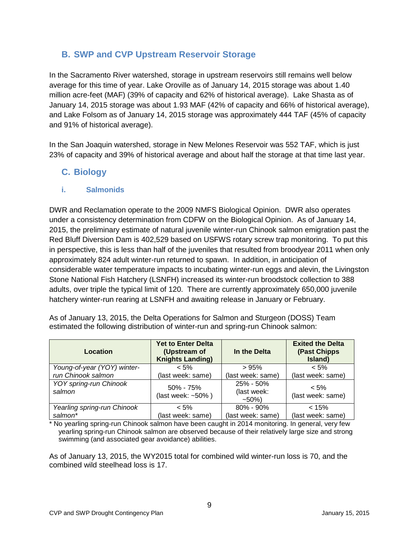## <span id="page-8-0"></span>**B. SWP and CVP Upstream Reservoir Storage**

In the Sacramento River watershed, storage in upstream reservoirs still remains well below average for this time of year. Lake Oroville as of January 14, 2015 storage was about 1.40 million acre-feet (MAF) (39% of capacity and 62% of historical average). Lake Shasta as of January 14, 2015 storage was about 1.93 MAF (42% of capacity and 66% of historical average), and Lake Folsom as of January 14, 2015 storage was approximately 444 TAF (45% of capacity and 91% of historical average).

In the San Joaquin watershed, storage in New Melones Reservoir was 552 TAF, which is just 23% of capacity and 39% of historical average and about half the storage at that time last year.

### <span id="page-8-1"></span>**C. Biology**

### <span id="page-8-2"></span>**i. Salmonids**

DWR and Reclamation operate to the 2009 NMFS Biological Opinion. DWR also operates under a consistency determination from CDFW on the Biological Opinion. As of January 14, 2015, the preliminary estimate of natural juvenile winter-run Chinook salmon emigration past the Red Bluff Diversion Dam is 402,529 based on USFWS rotary screw trap monitoring. To put this in perspective, this is less than half of the juveniles that resulted from broodyear 2011 when only approximately 824 adult winter-run returned to spawn. In addition, in anticipation of considerable water temperature impacts to incubating winter-run eggs and alevin, the Livingston Stone National Fish Hatchery (LSNFH) increased its winter-run broodstock collection to 388 adults, over triple the typical limit of 120. There are currently approximately 650,000 juvenile hatchery winter-run rearing at LSNFH and awaiting release in January or February.

| Location                         | <b>Yet to Enter Delta</b><br>(Upstream of<br><b>Knights Landing)</b> | In the Delta                        | <b>Exited the Delta</b><br>(Past Chipps<br>Island) |
|----------------------------------|----------------------------------------------------------------------|-------------------------------------|----------------------------------------------------|
| Young-of-year (YOY) winter-      | $< 5\%$                                                              | >95%                                | $< 5\%$                                            |
| run Chinook salmon               | (last week: same)                                                    | (last week: same)                   | (last week: same)                                  |
| YOY spring-run Chinook<br>salmon | $50\% - 75\%$<br>(last week: ~50%)                                   | 25% - 50%<br>(last week:<br>$~10\%$ | $< 5\%$<br>(last week: same)                       |
| Yearling spring-run Chinook      | $< 5\%$                                                              | $80\% - 90\%$                       | < 15%                                              |
| salmon*                          | (last week: same)                                                    | (last week: same)                   | (last week: same)                                  |

As of January 13, 2015, the Delta Operations for Salmon and Sturgeon (DOSS) Team estimated the following distribution of winter-run and spring-run Chinook salmon:

\* No yearling spring-run Chinook salmon have been caught in 2014 monitoring. In general, very few yearling spring-run Chinook salmon are observed because of their relatively large size and strong swimming (and associated gear avoidance) abilities.

As of January 13, 2015, the WY2015 total for combined wild winter-run loss is 70, and the combined wild steelhead loss is 17.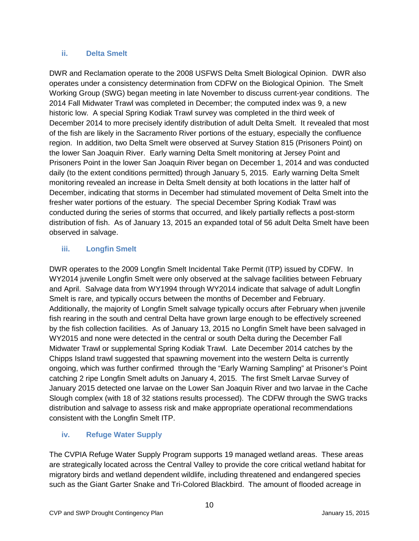#### <span id="page-9-0"></span>**ii. Delta Smelt**

DWR and Reclamation operate to the 2008 USFWS Delta Smelt Biological Opinion. DWR also operates under a consistency determination from CDFW on the Biological Opinion. The Smelt Working Group (SWG) began meeting in late November to discuss current-year conditions. The 2014 Fall Midwater Trawl was completed in December; the computed index was 9, a new historic low. A special Spring Kodiak Trawl survey was completed in the third week of December 2014 to more precisely identify distribution of adult Delta Smelt. It revealed that most of the fish are likely in the Sacramento River portions of the estuary, especially the confluence region. In addition, two Delta Smelt were observed at Survey Station 815 (Prisoners Point) on the lower San Joaquin River. Early warning Delta Smelt monitoring at Jersey Point and Prisoners Point in the lower San Joaquin River began on December 1, 2014 and was conducted daily (to the extent conditions permitted) through January 5, 2015. Early warning Delta Smelt monitoring revealed an increase in Delta Smelt density at both locations in the latter half of December, indicating that storms in December had stimulated movement of Delta Smelt into the fresher water portions of the estuary. The special December Spring Kodiak Trawl was conducted during the series of storms that occurred, and likely partially reflects a post-storm distribution of fish. As of January 13, 2015 an expanded total of 56 adult Delta Smelt have been observed in salvage.

### <span id="page-9-1"></span>**iii. Longfin Smelt**

DWR operates to the 2009 Longfin Smelt Incidental Take Permit (ITP) issued by CDFW. In WY2014 juvenile Longfin Smelt were only observed at the salvage facilities between February and April. Salvage data from WY1994 through WY2014 indicate that salvage of adult Longfin Smelt is rare, and typically occurs between the months of December and February. Additionally, the majority of Longfin Smelt salvage typically occurs after February when juvenile fish rearing in the south and central Delta have grown large enough to be effectively screened by the fish collection facilities. As of January 13, 2015 no Longfin Smelt have been salvaged in WY2015 and none were detected in the central or south Delta during the December Fall Midwater Trawl or supplemental Spring Kodiak Trawl. Late December 2014 catches by the Chipps Island trawl suggested that spawning movement into the western Delta is currently ongoing, which was further confirmed through the "Early Warning Sampling" at Prisoner's Point catching 2 ripe Longfin Smelt adults on January 4, 2015. The first Smelt Larvae Survey of January 2015 detected one larvae on the Lower San Joaquin River and two larvae in the Cache Slough complex (with 18 of 32 stations results processed). The CDFW through the SWG tracks distribution and salvage to assess risk and make appropriate operational recommendations consistent with the Longfin Smelt ITP.

### <span id="page-9-2"></span>**iv. Refuge Water Supply**

The CVPIA Refuge Water Supply Program supports 19 managed wetland areas. These areas are strategically located across the Central Valley to provide the core critical wetland habitat for migratory birds and wetland dependent wildlife, including threatened and endangered species such as the Giant Garter Snake and Tri-Colored Blackbird. The amount of flooded acreage in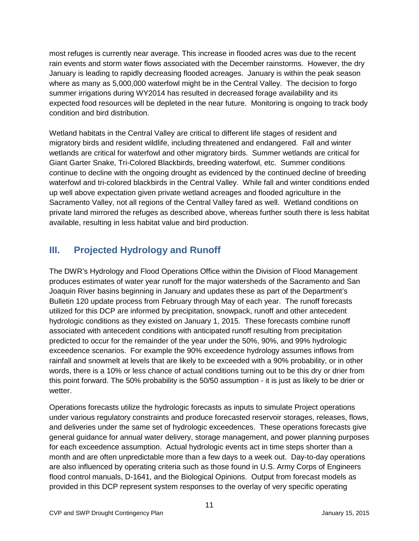most refuges is currently near average. This increase in flooded acres was due to the recent rain events and storm water flows associated with the December rainstorms. However, the dry January is leading to rapidly decreasing flooded acreages. January is within the peak season where as many as 5,000,000 waterfowl might be in the Central Valley. The decision to forgo summer irrigations during WY2014 has resulted in decreased forage availability and its expected food resources will be depleted in the near future. Monitoring is ongoing to track body condition and bird distribution.

Wetland habitats in the Central Valley are critical to different life stages of resident and migratory birds and resident wildlife, including threatened and endangered. Fall and winter wetlands are critical for waterfowl and other migratory birds. Summer wetlands are critical for Giant Garter Snake, Tri-Colored Blackbirds, breeding waterfowl, etc. Summer conditions continue to decline with the ongoing drought as evidenced by the continued decline of breeding waterfowl and tri-colored blackbirds in the Central Valley. While fall and winter conditions ended up well above expectation given private wetland acreages and flooded agriculture in the Sacramento Valley, not all regions of the Central Valley fared as well. Wetland conditions on private land mirrored the refuges as described above, whereas further south there is less habitat available, resulting in less habitat value and bird production.

## <span id="page-10-0"></span>**III. Projected Hydrology and Runoff**

The DWR's Hydrology and Flood Operations Office within the Division of Flood Management produces estimates of water year runoff for the major watersheds of the Sacramento and San Joaquin River basins beginning in January and updates these as part of the Department's Bulletin 120 update process from February through May of each year. The runoff forecasts utilized for this DCP are informed by precipitation, snowpack, runoff and other antecedent hydrologic conditions as they existed on January 1, 2015. These forecasts combine runoff associated with antecedent conditions with anticipated runoff resulting from precipitation predicted to occur for the remainder of the year under the 50%, 90%, and 99% hydrologic exceedence scenarios. For example the 90% exceedence hydrology assumes inflows from rainfall and snowmelt at levels that are likely to be exceeded with a 90% probability, or in other words, there is a 10% or less chance of actual conditions turning out to be this dry or drier from this point forward. The 50% probability is the 50/50 assumption - it is just as likely to be drier or wetter.

Operations forecasts utilize the hydrologic forecasts as inputs to simulate Project operations under various regulatory constraints and produce forecasted reservoir storages, releases, flows, and deliveries under the same set of hydrologic exceedences. These operations forecasts give general guidance for annual water delivery, storage management, and power planning purposes for each exceedence assumption. Actual hydrologic events act in time steps shorter than a month and are often unpredictable more than a few days to a week out. Day-to-day operations are also influenced by operating criteria such as those found in U.S. Army Corps of Engineers flood control manuals, D-1641, and the Biological Opinions. Output from forecast models as provided in this DCP represent system responses to the overlay of very specific operating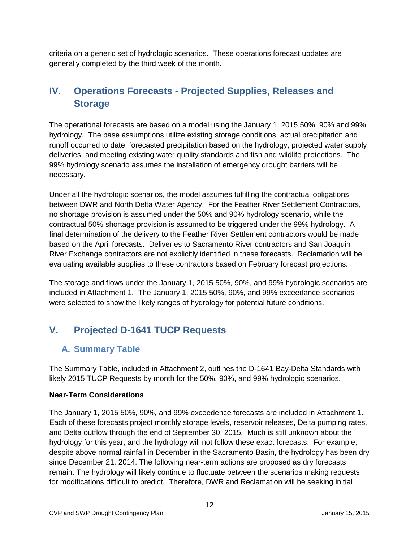criteria on a generic set of hydrologic scenarios. These operations forecast updates are generally completed by the third week of the month.

## <span id="page-11-0"></span>**IV. Operations Forecasts - Projected Supplies, Releases and Storage**

The operational forecasts are based on a model using the January 1, 2015 50%, 90% and 99% hydrology. The base assumptions utilize existing storage conditions, actual precipitation and runoff occurred to date, forecasted precipitation based on the hydrology, projected water supply deliveries, and meeting existing water quality standards and fish and wildlife protections. The 99% hydrology scenario assumes the installation of emergency drought barriers will be necessary.

Under all the hydrologic scenarios, the model assumes fulfilling the contractual obligations between DWR and North Delta Water Agency. For the Feather River Settlement Contractors, no shortage provision is assumed under the 50% and 90% hydrology scenario, while the contractual 50% shortage provision is assumed to be triggered under the 99% hydrology. A final determination of the delivery to the Feather River Settlement contractors would be made based on the April forecasts. Deliveries to Sacramento River contractors and San Joaquin River Exchange contractors are not explicitly identified in these forecasts. Reclamation will be evaluating available supplies to these contractors based on February forecast projections.

The storage and flows under the January 1, 2015 50%, 90%, and 99% hydrologic scenarios are included in Attachment 1. The January 1, 2015 50%, 90%, and 99% exceedance scenarios were selected to show the likely ranges of hydrology for potential future conditions.

## <span id="page-11-2"></span><span id="page-11-1"></span>**V. Projected D-1641 TUCP Requests**

## **A. Summary Table**

The Summary Table, included in Attachment 2, outlines the D-1641 Bay-Delta Standards with likely 2015 TUCP Requests by month for the 50%, 90%, and 99% hydrologic scenarios.

### **Near-Term Considerations**

The January 1, 2015 50%, 90%, and 99% exceedence forecasts are included in Attachment 1. Each of these forecasts project monthly storage levels, reservoir releases, Delta pumping rates, and Delta outflow through the end of September 30, 2015. Much is still unknown about the hydrology for this year, and the hydrology will not follow these exact forecasts. For example, despite above normal rainfall in December in the Sacramento Basin, the hydrology has been dry since December 21, 2014. The following near-term actions are proposed as dry forecasts remain. The hydrology will likely continue to fluctuate between the scenarios making requests for modifications difficult to predict. Therefore, DWR and Reclamation will be seeking initial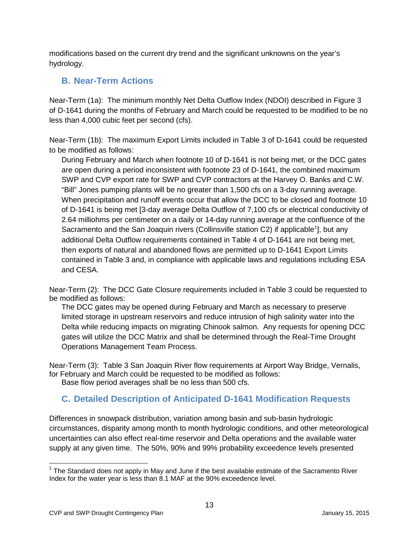modifications based on the current dry trend and the significant unknowns on the year's hydrology.

## <span id="page-12-0"></span>**B. Near-Term Actions**

Near-Term (1a): The minimum monthly Net Delta Outflow Index (NDOI) described in Figure 3 of D-1641 during the months of February and March could be requested to be modified to be no less than 4,000 cubic feet per second (cfs).

Near-Term (1b): The maximum Export Limits included in Table 3 of D-1641 could be requested to be modified as follows:

During February and March when footnote 10 of D-1641 is not being met, or the DCC gates are open during a period inconsistent with footnote 23 of D-1641, the combined maximum SWP and CVP export rate for SWP and CVP contractors at the Harvey O. Banks and C.W. "Bill" Jones pumping plants will be no greater than 1,500 cfs on a 3-day running average. When precipitation and runoff events occur that allow the DCC to be closed and footnote 10 of D-1641 is being met [3-day average Delta Outflow of 7,100 cfs or electrical conductivity of 2.64 milliohms per centimeter on a daily or 14-day running average at the confluence of the Sacramento and the San Joaquin rivers (Collinsville station C2) if applicable<sup>[1](#page-12-2)</sup>], but any additional Delta Outflow requirements contained in Table 4 of D-1641 are not being met, then exports of natural and abandoned flows are permitted up to D-1641 Export Limits contained in Table 3 and, in compliance with applicable laws and regulations including ESA and CESA.

Near-Term (2): The DCC Gate Closure requirements included in Table 3 could be requested to be modified as follows:

The DCC gates may be opened during February and March as necessary to preserve limited storage in upstream reservoirs and reduce intrusion of high salinity water into the Delta while reducing impacts on migrating Chinook salmon. Any requests for opening DCC gates will utilize the DCC Matrix and shall be determined through the Real-Time Drought Operations Management Team Process.

Near-Term (3): Table 3 San Joaquin River flow requirements at Airport Way Bridge, Vernalis, for February and March could be requested to be modified as follows:

<span id="page-12-1"></span>Base flow period averages shall be no less than 500 cfs.

## **C. Detailed Description of Anticipated D-1641 Modification Requests**

Differences in snowpack distribution, variation among basin and sub-basin hydrologic circumstances, disparity among month to month hydrologic conditions, and other meteorological uncertainties can also effect real-time reservoir and Delta operations and the available water supply at any given time. The 50%, 90% and 99% probability exceedence levels presented

 $\overline{\phantom{a}}$ 

<span id="page-12-2"></span> $1$  The Standard does not apply in May and June if the best available estimate of the Sacramento River Index for the water year is less than 8.1 MAF at the 90% exceedence level.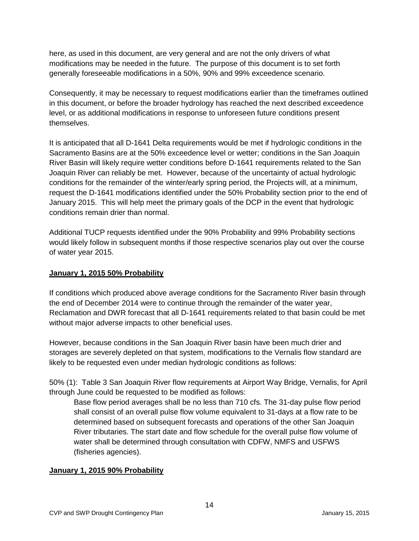here, as used in this document, are very general and are not the only drivers of what modifications may be needed in the future. The purpose of this document is to set forth generally foreseeable modifications in a 50%, 90% and 99% exceedence scenario.

Consequently, it may be necessary to request modifications earlier than the timeframes outlined in this document, or before the broader hydrology has reached the next described exceedence level, or as additional modifications in response to unforeseen future conditions present themselves.

It is anticipated that all D-1641 Delta requirements would be met if hydrologic conditions in the Sacramento Basins are at the 50% exceedence level or wetter; conditions in the San Joaquin River Basin will likely require wetter conditions before D-1641 requirements related to the San Joaquin River can reliably be met. However, because of the uncertainty of actual hydrologic conditions for the remainder of the winter/early spring period, the Projects will, at a minimum, request the D-1641 modifications identified under the 50% Probability section prior to the end of January 2015. This will help meet the primary goals of the DCP in the event that hydrologic conditions remain drier than normal.

Additional TUCP requests identified under the 90% Probability and 99% Probability sections would likely follow in subsequent months if those respective scenarios play out over the course of water year 2015.

#### **January 1, 2015 50% Probability**

If conditions which produced above average conditions for the Sacramento River basin through the end of December 2014 were to continue through the remainder of the water year, Reclamation and DWR forecast that all D-1641 requirements related to that basin could be met without major adverse impacts to other beneficial uses.

However, because conditions in the San Joaquin River basin have been much drier and storages are severely depleted on that system, modifications to the Vernalis flow standard are likely to be requested even under median hydrologic conditions as follows:

50% (1): Table 3 San Joaquin River flow requirements at Airport Way Bridge, Vernalis, for April through June could be requested to be modified as follows:

Base flow period averages shall be no less than 710 cfs. The 31-day pulse flow period shall consist of an overall pulse flow volume equivalent to 31-days at a flow rate to be determined based on subsequent forecasts and operations of the other San Joaquin River tributaries. The start date and flow schedule for the overall pulse flow volume of water shall be determined through consultation with CDFW, NMFS and USFWS (fisheries agencies).

#### **January 1, 2015 90% Probability**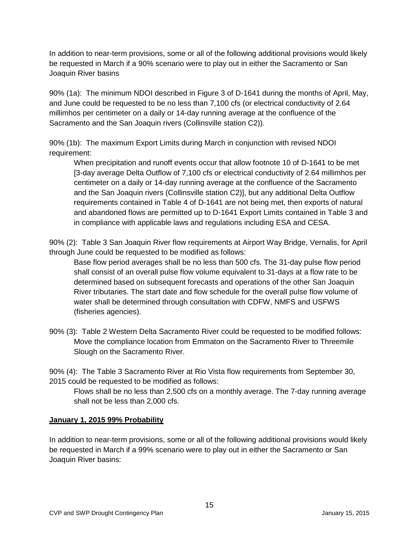In addition to near-term provisions, some or all of the following additional provisions would likely be requested in March if a 90% scenario were to play out in either the Sacramento or San Joaquin River basins

90% (1a): The minimum NDOI described in Figure 3 of D-1641 during the months of April, May, and June could be requested to be no less than 7,100 cfs (or electrical conductivity of 2.64 millimhos per centimeter on a daily or 14-day running average at the confluence of the Sacramento and the San Joaquin rivers (Collinsville station C2)).

90% (1b): The maximum Export Limits during March in conjunction with revised NDOI requirement:

When precipitation and runoff events occur that allow footnote 10 of D-1641 to be met [3-day average Delta Outflow of 7,100 cfs or electrical conductivity of 2.64 millimhos per centimeter on a daily or 14-day running average at the confluence of the Sacramento and the San Joaquin rivers (Collinsville station C2)], but any additional Delta Outflow requirements contained in Table 4 of D-1641 are not being met, then exports of natural and abandoned flows are permitted up to D-1641 Export Limits contained in Table 3 and in compliance with applicable laws and regulations including ESA and CESA.

90% (2): Table 3 San Joaquin River flow requirements at Airport Way Bridge, Vernalis, for April through June could be requested to be modified as follows:

Base flow period averages shall be no less than 500 cfs. The 31-day pulse flow period shall consist of an overall pulse flow volume equivalent to 31-days at a flow rate to be determined based on subsequent forecasts and operations of the other San Joaquin River tributaries. The start date and flow schedule for the overall pulse flow volume of water shall be determined through consultation with CDFW, NMFS and USFWS (fisheries agencies).

90% (3): Table 2 Western Delta Sacramento River could be requested to be modified follows: Move the compliance location from Emmaton on the Sacramento River to Threemile Slough on the Sacramento River.

90% (4): The Table 3 Sacramento River at Rio Vista flow requirements from September 30, 2015 could be requested to be modified as follows:

Flows shall be no less than 2,500 cfs on a monthly average. The 7-day running average shall not be less than 2,000 cfs.

### **January 1, 2015 99% Probability**

In addition to near-term provisions, some or all of the following additional provisions would likely be requested in March if a 99% scenario were to play out in either the Sacramento or San Joaquin River basins: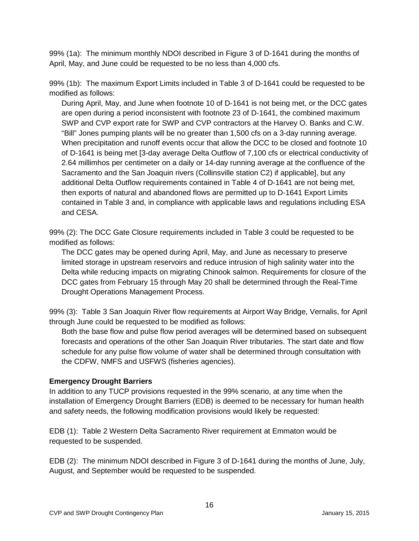99% (1a): The minimum monthly NDOI described in Figure 3 of D-1641 during the months of April, May, and June could be requested to be no less than 4,000 cfs.

99% (1b): The maximum Export Limits included in Table 3 of D-1641 could be requested to be modified as follows:

During April, May, and June when footnote 10 of D-1641 is not being met, or the DCC gates are open during a period inconsistent with footnote 23 of D-1641, the combined maximum SWP and CVP export rate for SWP and CVP contractors at the Harvey O. Banks and C.W. "Bill" Jones pumping plants will be no greater than 1,500 cfs on a 3-day running average. When precipitation and runoff events occur that allow the DCC to be closed and footnote 10 of D-1641 is being met [3-day average Delta Outflow of 7,100 cfs or electrical conductivity of 2.64 millimhos per centimeter on a daily or 14-day running average at the confluence of the Sacramento and the San Joaquin rivers (Collinsville station C2) if applicable], but any additional Delta Outflow requirements contained in Table 4 of D-1641 are not being met, then exports of natural and abandoned flows are permitted up to D-1641 Export Limits contained in Table 3 and, in compliance with applicable laws and regulations including ESA and CESA.

99% (2): The DCC Gate Closure requirements included in Table 3 could be requested to be modified as follows:

The DCC gates may be opened during April, May, and June as necessary to preserve limited storage in upstream reservoirs and reduce intrusion of high salinity water into the Delta while reducing impacts on migrating Chinook salmon. Requirements for closure of the DCC gates from February 15 through May 20 shall be determined through the Real-Time Drought Operations Management Process.

99% (3): Table 3 San Joaquin River flow requirements at Airport Way Bridge, Vernalis, for April through June could be requested to be modified as follows:

Both the base flow and pulse flow period averages will be determined based on subsequent forecasts and operations of the other San Joaquin River tributaries. The start date and flow schedule for any pulse flow volume of water shall be determined through consultation with the CDFW, NMFS and USFWS (fisheries agencies).

#### **Emergency Drought Barriers**

In addition to any TUCP provisions requested in the 99% scenario, at any time when the installation of Emergency Drought Barriers (EDB) is deemed to be necessary for human health and safety needs, the following modification provisions would likely be requested:

EDB (1): Table 2 Western Delta Sacramento River requirement at Emmaton would be requested to be suspended.

EDB (2): The minimum NDOI described in Figure 3 of D-1641 during the months of June, July, August, and September would be requested to be suspended.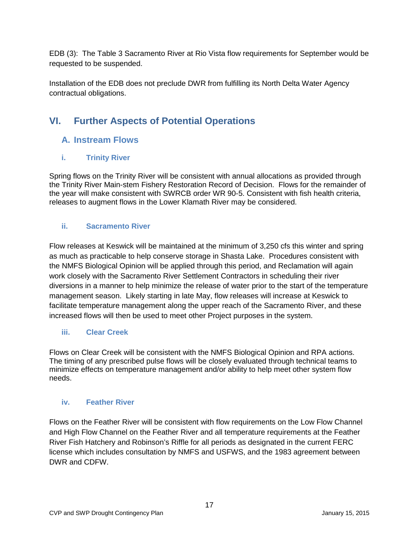EDB (3): The Table 3 Sacramento River at Rio Vista flow requirements for September would be requested to be suspended.

Installation of the EDB does not preclude DWR from fulfilling its North Delta Water Agency contractual obligations.

## <span id="page-16-1"></span><span id="page-16-0"></span>**VI. Further Aspects of Potential Operations**

## **A. Instream Flows**

### <span id="page-16-2"></span>**i. Trinity River**

Spring flows on the Trinity River will be consistent with annual allocations as provided through the Trinity River Main-stem Fishery Restoration Record of Decision. Flows for the remainder of the year will make consistent with SWRCB order WR 90-5. Consistent with fish health criteria, releases to augment flows in the Lower Klamath River may be considered.

### <span id="page-16-3"></span>**ii. Sacramento River**

Flow releases at Keswick will be maintained at the minimum of 3,250 cfs this winter and spring as much as practicable to help conserve storage in Shasta Lake. Procedures consistent with the NMFS Biological Opinion will be applied through this period, and Reclamation will again work closely with the Sacramento River Settlement Contractors in scheduling their river diversions in a manner to help minimize the release of water prior to the start of the temperature management season. Likely starting in late May, flow releases will increase at Keswick to facilitate temperature management along the upper reach of the Sacramento River, and these increased flows will then be used to meet other Project purposes in the system.

### <span id="page-16-4"></span>**iii. Clear Creek**

Flows on Clear Creek will be consistent with the NMFS Biological Opinion and RPA actions. The timing of any prescribed pulse flows will be closely evaluated through technical teams to minimize effects on temperature management and/or ability to help meet other system flow needs.

### <span id="page-16-5"></span>**iv. Feather River**

Flows on the Feather River will be consistent with flow requirements on the Low Flow Channel and High Flow Channel on the Feather River and all temperature requirements at the Feather River Fish Hatchery and Robinson's Riffle for all periods as designated in the current FERC license which includes consultation by NMFS and USFWS, and the 1983 agreement between DWR and CDFW.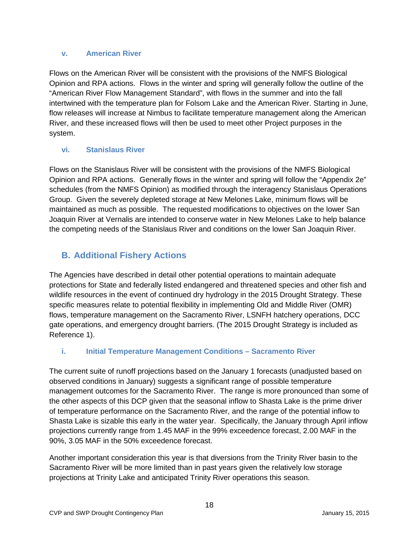#### <span id="page-17-0"></span>**v. American River**

Flows on the American River will be consistent with the provisions of the NMFS Biological Opinion and RPA actions. Flows in the winter and spring will generally follow the outline of the "American River Flow Management Standard", with flows in the summer and into the fall intertwined with the temperature plan for Folsom Lake and the American River. Starting in June, flow releases will increase at Nimbus to facilitate temperature management along the American River, and these increased flows will then be used to meet other Project purposes in the system.

### <span id="page-17-1"></span>**vi. Stanislaus River**

Flows on the Stanislaus River will be consistent with the provisions of the NMFS Biological Opinion and RPA actions. Generally flows in the winter and spring will follow the "Appendix 2e" schedules (from the NMFS Opinion) as modified through the interagency Stanislaus Operations Group. Given the severely depleted storage at New Melones Lake, minimum flows will be maintained as much as possible. The requested modifications to objectives on the lower San Joaquin River at Vernalis are intended to conserve water in New Melones Lake to help balance the competing needs of the Stanislaus River and conditions on the lower San Joaquin River.

## <span id="page-17-2"></span>**B. Additional Fishery Actions**

The Agencies have described in detail other potential operations to maintain adequate protections for State and federally listed endangered and threatened species and other fish and wildlife resources in the event of continued dry hydrology in the 2015 Drought Strategy. These specific measures relate to potential flexibility in implementing Old and Middle River (OMR) flows, temperature management on the Sacramento River, LSNFH hatchery operations, DCC gate operations, and emergency drought barriers. (The 2015 Drought Strategy is included as Reference 1).

### <span id="page-17-3"></span>**i. Initial Temperature Management Conditions – Sacramento River**

The current suite of runoff projections based on the January 1 forecasts (unadjusted based on observed conditions in January) suggests a significant range of possible temperature management outcomes for the Sacramento River. The range is more pronounced than some of the other aspects of this DCP given that the seasonal inflow to Shasta Lake is the prime driver of temperature performance on the Sacramento River, and the range of the potential inflow to Shasta Lake is sizable this early in the water year. Specifically, the January through April inflow projections currently range from 1.45 MAF in the 99% exceedence forecast, 2.00 MAF in the 90%, 3.05 MAF in the 50% exceedence forecast.

Another important consideration this year is that diversions from the Trinity River basin to the Sacramento River will be more limited than in past years given the relatively low storage projections at Trinity Lake and anticipated Trinity River operations this season.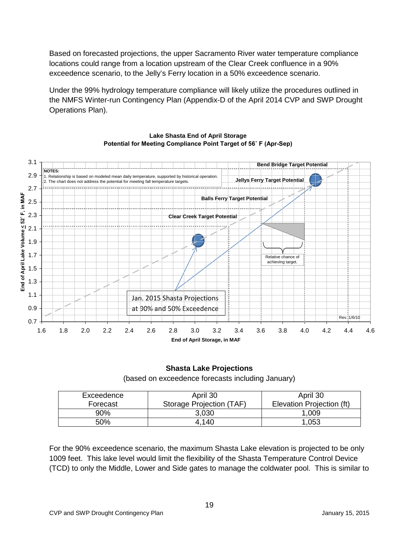Based on forecasted projections, the upper Sacramento River water temperature compliance locations could range from a location upstream of the Clear Creek confluence in a 90% exceedence scenario, to the Jelly's Ferry location in a 50% exceedence scenario.

Under the 99% hydrology temperature compliance will likely utilize the procedures outlined in the NMFS Winter-run Contingency Plan (Appendix-D of the April 2014 CVP and SWP Drought Operations Plan).



#### **Lake Shasta End of April Storage Potential for Meeting Compliance Point Target of 56˚ F (Apr-Sep)**

## **Shasta Lake Projections**

(based on exceedence forecasts including January)

| Exceedence | April 30                 | April 30                  |
|------------|--------------------------|---------------------------|
| Forecast   | Storage Projection (TAF) | Elevation Projection (ft) |
| 90%        | 3,030                    | .009                      |
| 50%        | 4.140                    | .053                      |

For the 90% exceedence scenario, the maximum Shasta Lake elevation is projected to be only 1009 feet. This lake level would limit the flexibility of the Shasta Temperature Control Device (TCD) to only the Middle, Lower and Side gates to manage the coldwater pool. This is similar to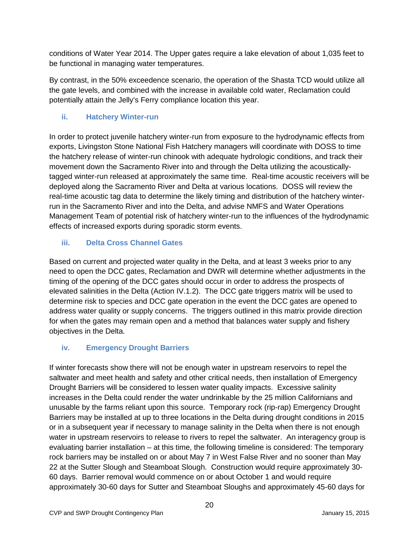conditions of Water Year 2014. The Upper gates require a lake elevation of about 1,035 feet to be functional in managing water temperatures.

By contrast, in the 50% exceedence scenario, the operation of the Shasta TCD would utilize all the gate levels, and combined with the increase in available cold water, Reclamation could potentially attain the Jelly's Ferry compliance location this year.

### <span id="page-19-0"></span>**ii. Hatchery Winter-run**

In order to protect juvenile hatchery winter-run from exposure to the hydrodynamic effects from exports, Livingston Stone National Fish Hatchery managers will coordinate with DOSS to time the hatchery release of winter-run chinook with adequate hydrologic conditions, and track their movement down the Sacramento River into and through the Delta utilizing the acousticallytagged winter-run released at approximately the same time. Real-time acoustic receivers will be deployed along the Sacramento River and Delta at various locations. DOSS will review the real-time acoustic tag data to determine the likely timing and distribution of the hatchery winterrun in the Sacramento River and into the Delta, and advise NMFS and Water Operations Management Team of potential risk of hatchery winter-run to the influences of the hydrodynamic effects of increased exports during sporadic storm events.

## <span id="page-19-1"></span>**iii. Delta Cross Channel Gates**

Based on current and projected water quality in the Delta, and at least 3 weeks prior to any need to open the DCC gates, Reclamation and DWR will determine whether adjustments in the timing of the opening of the DCC gates should occur in order to address the prospects of elevated salinities in the Delta (Action IV.1.2). The DCC gate triggers matrix will be used to determine risk to species and DCC gate operation in the event the DCC gates are opened to address water quality or supply concerns. The triggers outlined in this matrix provide direction for when the gates may remain open and a method that balances water supply and fishery objectives in the Delta.

## <span id="page-19-2"></span>**iv. Emergency Drought Barriers**

If winter forecasts show there will not be enough water in upstream reservoirs to repel the saltwater and meet health and safety and other critical needs, then installation of Emergency Drought Barriers will be considered to lessen water quality impacts. Excessive salinity increases in the Delta could render the water undrinkable by the 25 million Californians and unusable by the farms reliant upon this source. Temporary rock (rip-rap) Emergency Drought Barriers may be installed at up to three locations in the Delta during drought conditions in 2015 or in a subsequent year if necessary to manage salinity in the Delta when there is not enough water in upstream reservoirs to release to rivers to repel the saltwater. An interagency group is evaluating barrier installation – at this time, the following timeline is considered: The temporary rock barriers may be installed on or about May 7 in West False River and no sooner than May 22 at the Sutter Slough and Steamboat Slough. Construction would require approximately 30- 60 days. Barrier removal would commence on or about October 1 and would require approximately 30-60 days for Sutter and Steamboat Sloughs and approximately 45-60 days for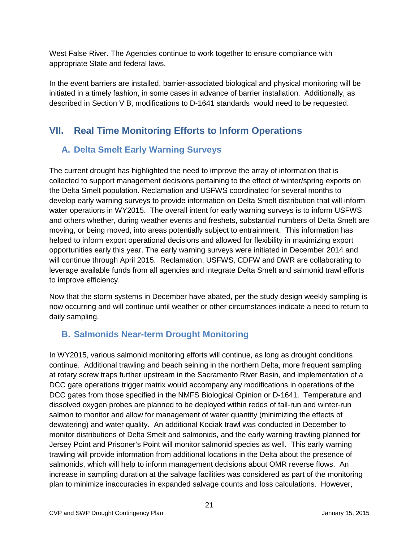West False River. The Agencies continue to work together to ensure compliance with appropriate State and federal laws.

In the event barriers are installed, barrier-associated biological and physical monitoring will be initiated in a timely fashion, in some cases in advance of barrier installation. Additionally, as described in Section V B, modifications to D-1641 standards would need to be requested.

## <span id="page-20-1"></span><span id="page-20-0"></span>**VII. Real Time Monitoring Efforts to Inform Operations**

## **A. Delta Smelt Early Warning Surveys**

The current drought has highlighted the need to improve the array of information that is collected to support management decisions pertaining to the effect of winter/spring exports on the Delta Smelt population. Reclamation and USFWS coordinated for several months to develop early warning surveys to provide information on Delta Smelt distribution that will inform water operations in WY2015. The overall intent for early warning surveys is to inform USFWS and others whether, during weather events and freshets, substantial numbers of Delta Smelt are moving, or being moved, into areas potentially subject to entrainment. This information has helped to inform export operational decisions and allowed for flexibility in maximizing export opportunities early this year. The early warning surveys were initiated in December 2014 and will continue through April 2015. Reclamation, USFWS, CDFW and DWR are collaborating to leverage available funds from all agencies and integrate Delta Smelt and salmonid trawl efforts to improve efficiency.

Now that the storm systems in December have abated, per the study design weekly sampling is now occurring and will continue until weather or other circumstances indicate a need to return to daily sampling.

## <span id="page-20-2"></span>**B. Salmonids Near-term Drought Monitoring**

In WY2015, various salmonid monitoring efforts will continue, as long as drought conditions continue. Additional trawling and beach seining in the northern Delta, more frequent sampling at rotary screw traps further upstream in the Sacramento River Basin, and implementation of a DCC gate operations trigger matrix would accompany any modifications in operations of the DCC gates from those specified in the NMFS Biological Opinion or D-1641. Temperature and dissolved oxygen probes are planned to be deployed within redds of fall-run and winter-run salmon to monitor and allow for management of water quantity (minimizing the effects of dewatering) and water quality. An additional Kodiak trawl was conducted in December to monitor distributions of Delta Smelt and salmonids, and the early warning trawling planned for Jersey Point and Prisoner's Point will monitor salmonid species as well. This early warning trawling will provide information from additional locations in the Delta about the presence of salmonids, which will help to inform management decisions about OMR reverse flows. An increase in sampling duration at the salvage facilities was considered as part of the monitoring plan to minimize inaccuracies in expanded salvage counts and loss calculations. However,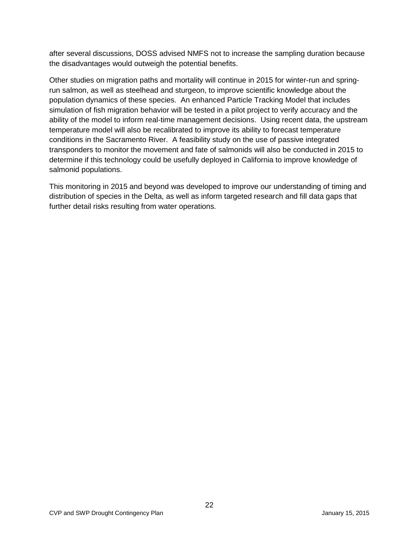after several discussions, DOSS advised NMFS not to increase the sampling duration because the disadvantages would outweigh the potential benefits.

Other studies on migration paths and mortality will continue in 2015 for winter-run and springrun salmon, as well as steelhead and sturgeon, to improve scientific knowledge about the population dynamics of these species. An enhanced Particle Tracking Model that includes simulation of fish migration behavior will be tested in a pilot project to verify accuracy and the ability of the model to inform real-time management decisions. Using recent data, the upstream temperature model will also be recalibrated to improve its ability to forecast temperature conditions in the Sacramento River. A feasibility study on the use of passive integrated transponders to monitor the movement and fate of salmonids will also be conducted in 2015 to determine if this technology could be usefully deployed in California to improve knowledge of salmonid populations.

This monitoring in 2015 and beyond was developed to improve our understanding of timing and distribution of species in the Delta, as well as inform targeted research and fill data gaps that further detail risks resulting from water operations.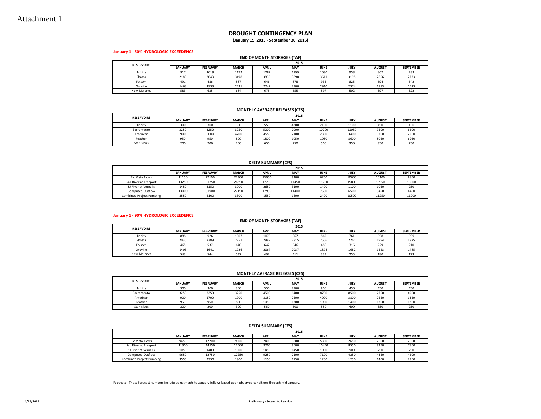#### **DROUGHT CONTINGENCY PLAN**

**(January 15, 2015 ‐ September 30, 2015)**

#### **January 1 ‐ 50% HYDROLOGIC EXCEEDENCE**

#### **END OF MONTH STORAGES (TAF)**

| <b>RESERVOIRS</b>  | 2015           |                 |              |              |      |             |             |               |                  |  |  |
|--------------------|----------------|-----------------|--------------|--------------|------|-------------|-------------|---------------|------------------|--|--|
|                    | <b>JANUARY</b> | <b>FEBRUARY</b> | <b>MARCH</b> | <b>APRIL</b> | MAY  | <b>JUNE</b> | <b>JULY</b> | <b>AUGUST</b> | <b>SEPTEMBER</b> |  |  |
| Trinity            | 917            | 1019            | 1172         | 1287         | 1199 | 1080        | 958         | 867           | 783              |  |  |
| Shasta             | 2188           | 2843            | 3498         | 3835         | 3898 | 3611        | 3195        | 2856          | 2733             |  |  |
| Folsom             | 491            | 486             | 587          | 646          | 878  | 935         | 825         | 694           | 642              |  |  |
| Oroville           | 1463           | 1933            | 2431         | 2742         | 2900 | 2910        | 2374        | 1883          | 1523             |  |  |
| <b>New Melones</b> | 583            | 635             | 684          | 675          | 655  | 597         | 502         | 397           | 322              |  |  |

#### **MONTHLY AVERAGE RELEASES (CFS)**

| <b>RESERVOIRS</b> |                | 2015            |              |              |      |             |       |               |                  |  |  |  |
|-------------------|----------------|-----------------|--------------|--------------|------|-------------|-------|---------------|------------------|--|--|--|
|                   | <b>JANUARY</b> | <b>FEBRUARY</b> | <b>MARCH</b> | <b>APRIL</b> | MAY  | <b>JUNE</b> | JULY  | <b>AUGUST</b> | <b>SEPTEMBER</b> |  |  |  |
| Trinity           | 300            | 300             | 300          | 550          | 4200 | 2100        | 1100  | 450           | 450              |  |  |  |
| Sacramento        | 3250           | 3250            | 3250         | 5000         | 7000 | 10700       | 11050 | 9500          | 6200             |  |  |  |
| American          | 900            | 5000            | 4700         | 4550         | 2100 | 2300        | 3400  | 3700          | 2250             |  |  |  |
| Feather           | 950            | 950             | 800          | 1800         | 1050 | 1050        | 8600  | 8050          | 6950             |  |  |  |
| Stanislaus        | 200            | 200             | 200          | 650          | 750  | 500         | 350   | 350           | 250              |  |  |  |

#### **DELTA SUMMARY (CFS)**

|                                 |                | 2015            |              |              |       |             |       |               |                  |  |  |  |
|---------------------------------|----------------|-----------------|--------------|--------------|-------|-------------|-------|---------------|------------------|--|--|--|
|                                 | <b>JANUARY</b> | <b>FEBRUARY</b> | <b>MARCH</b> | <b>APRIL</b> | MAY   | <b>JUNE</b> | JULY  | <b>AUGUST</b> | <b>SEPTEMBER</b> |  |  |  |
| Rio Vista Flows                 | 11150          | 27100           | 22300        | 13950        | 8200  | 6250        | 10600 | 10100         | 8850             |  |  |  |
| Sac River at Freeport           | 13250          | 31750           | 26350        | 17250        | 11450 | 11700       | 19800 | 18950         | 16600            |  |  |  |
| SJ River at Vernalis            | 1450           | 3150            | 3000         | 2650         | 3100  | 1400        | 1100  | 1050          | 950              |  |  |  |
| <b>Computed Outflow</b>         | 13000          | 31900           | 27150        | 17950        | 11400 | 7500        | 6500  | 5450          | 4450             |  |  |  |
| <b>Combined Project Pumping</b> | 3550           | 5100            | 3300         | 1550         | 1600  | 2400        | 10500 | 11250         | 11200            |  |  |  |

#### **January 1 ‐ 90% HYDROLOGIC EXCEEDENCE**

#### **END OF MONTH STORAGES (TAF)**

| <b>RESERVOIRS</b>  |                | 2015            |              |              |      |             |                    |               |                  |  |  |  |
|--------------------|----------------|-----------------|--------------|--------------|------|-------------|--------------------|---------------|------------------|--|--|--|
|                    | <b>JANUARY</b> | <b>FEBRUARY</b> | <b>MARCH</b> | <b>APRIL</b> | MAY  | <b>JUNE</b> | <b>JULY</b>        | <b>AUGUST</b> | <b>SEPTEMBER</b> |  |  |  |
| Trinity            | 888            | 926             | 1007         | 1075         | 967  | 862         | 761                | 658           | 599              |  |  |  |
| Shasta             | 2036           | 2389            | 2751         | 2889         | 2815 | 2566        | 2261               | 1994          | 1875             |  |  |  |
| Folsom             | 465            | 537             | 640          | 642          | 646  | 488         | 316                | 229           | 210              |  |  |  |
| Oroville           | 1403           | 1641            | 1926         | 2067         | 2037 | 1874        | 1682               | 1523          | 1485             |  |  |  |
| <b>New Melones</b> | 543            | 544             | 537          | 492          | 411  | 333         | $\sim$ $ -$<br>255 | 180           | 123              |  |  |  |

#### **MONTHLY AVERAGE RELEASES (CFS)**

| <b>RESERVOIRS</b> |                | 2015            |              |              |      |             |      |               |                  |  |  |
|-------------------|----------------|-----------------|--------------|--------------|------|-------------|------|---------------|------------------|--|--|
|                   | <b>JANUARY</b> | <b>FEBRUARY</b> | <b>MARCH</b> | <b>APRIL</b> | MAY  | <b>JUNE</b> | JULY | <b>AUGUST</b> | <b>SEPTEMBER</b> |  |  |
| Trinity           | 300            | 300             | 300          | 550          | 2900 | 800         | 450  | 450           | 450              |  |  |
| Sacramento        | 3250           | 3250            | 3250         | 4500         | 6400 | 8750        | 8500 | 7750          | 4900             |  |  |
| American          | 900            | 1700            | 1900         | 3150         | 2500 | 4000        | 3800 | 2550          | 1350             |  |  |
| Feather           | 950            | 950             | 800          | 1050         | 1300 | 1950        | 1400 | 1300          | 1200             |  |  |
| Stanislaus        | 200            | 200             | 300          | 550          | 500  | 550         | 400  | 350           | 250              |  |  |

#### **DELTA SUMMARY (CFS)**

|                                 |                |                 |              |              | 2015 |             |      |               |                  |
|---------------------------------|----------------|-----------------|--------------|--------------|------|-------------|------|---------------|------------------|
|                                 | <b>JANUARY</b> | <b>FEBRUARY</b> | <b>MARCH</b> | <b>APRIL</b> | MAY  | <b>JUNE</b> | JULY | <b>AUGUST</b> | <b>SEPTEMBER</b> |
| Rio Vista Flows                 | 9450           | 12200           | 9800         | 7400         | 5800 | 5300        | 2650 | 2600          | 2600             |
| Sac River at Freeport           | 11300          | 14550           | 12000        | 9700         | 8600 | 10450       | 8550 | 8350          | 7800             |
| SJ River at Vernalis            | 1050           | 1400            | 1600         | 1450         | 1450 | 1050        | 900  | 750           | 750              |
| <b>Computed Outflow</b>         | 9650           | 12750           | 12250        | 9250         | 7100 | 7100        | 4250 | 4350          | 4200             |
| <b>Combined Project Pumping</b> | 3550           | 4350            | 1800         | 1150         | 1150 | 1200        | 1250 | 1400          | 2300             |

Footnote: These forecast numbers include adjustments to January inflows based upon observed conditions through mid‐January.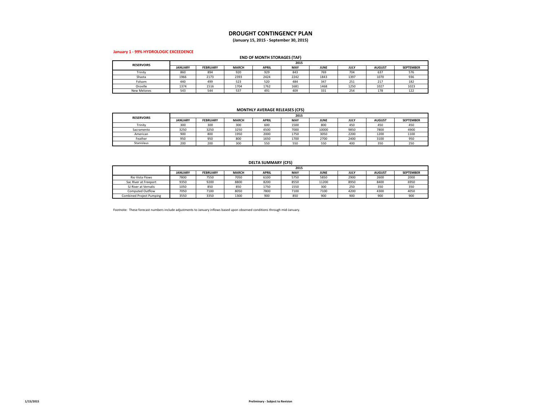#### **DROUGHT CONTINGENCY PLAN**

**(January 15, 2015 ‐ September 30, 2015)**

#### **January 1 ‐ 99% HYDROLOGIC EXCEEDENCE**

#### **END OF MONTH STORAGES (TAF)**

| <b>RESERVOIRS</b>  | 2015           |                 |              |              |      |             |      |               |                  |  |  |
|--------------------|----------------|-----------------|--------------|--------------|------|-------------|------|---------------|------------------|--|--|
|                    | <b>JANUARY</b> | <b>FEBRUARY</b> | <b>MARCH</b> | <b>APRIL</b> | MAY  | <b>JUNE</b> | JULY | <b>AUGUST</b> | <b>SEPTEMBER</b> |  |  |
| Trinity            | 860            | 894             | 920          | 929          | 843  | 769         | 704  | 637           | 576              |  |  |
| Shasta             | 1966           | 2173            | 2393         | 2424         | 2242 | 1843        | 1397 | 1070          | 936              |  |  |
| Folsom             | 440            | 499             | 523          | 520          | 484  | 347         | 251  | 217           | 182              |  |  |
| Oroville           | 1374           | 1516            | 1704         | 1762         | 1681 | 1468        | 1250 | 1027          | 1023             |  |  |
| <b>New Melones</b> | 543            | 544             | 537          | 491          | 409  | 331         | 254  | 178           | 122              |  |  |

#### **MONTHLY AVERAGE RELEASES (CFS)**

| <b>RESERVOIRS</b> |                | 2015            |              |              |      |             |      |               |                  |  |  |  |
|-------------------|----------------|-----------------|--------------|--------------|------|-------------|------|---------------|------------------|--|--|--|
|                   | <b>JANUARY</b> | <b>FEBRUARY</b> | <b>MARCH</b> | <b>APRIL</b> | MAY  | <b>JUNE</b> | JULY | <b>AUGUST</b> | <b>SEPTEMBER</b> |  |  |  |
| Trinity           | 300            | 300             | 300          | 600          | 1500 | 800         | 450  | 450           | 450              |  |  |  |
| Sacramento        | 3250           | 3250            | 3250         | 4500         | 7000 | 10000       | 9850 | 7800          | 4900             |  |  |  |
| American          | 900            | 800             | 1950         | 2000         | 1750 | 3050        | 2200 | 1200          | 1100             |  |  |  |
| Feather           | 950            | 950             | 800          | 1650         | 1700 | 2700        | 2400 | 3100          | 950              |  |  |  |
| Stanislaus        | 200            | 200             | 300          | 550          | 550  | 550         | 400  | 350           | 250              |  |  |  |

#### **DELTA SUMMARY (CFS)**

|                                 |                | 2015            |              |              |      |             |      |               |                  |  |  |
|---------------------------------|----------------|-----------------|--------------|--------------|------|-------------|------|---------------|------------------|--|--|
|                                 | <b>JANUARY</b> | <b>FEBRUARY</b> | <b>MARCH</b> | <b>APRIL</b> | MAY  | <b>JUNE</b> | JULY | <b>AUGUST</b> | <b>SEPTEMBER</b> |  |  |
| Rio Vista Flows                 | 7800           | 7550            | 7050         | 6100         | 5750 | 5850        | 2900 | 2600          | 2000             |  |  |
| Sac River at Freeport           | 9350           | 9200            | 8800         | 8200         | 8550 | 11200       | 8950 | 8400          | 6950             |  |  |
| SJ River at Vernalis            | 1050           | 850             | 850          | 1750         | 1550 | 300         | 250  | 350           | 350              |  |  |
| <b>Computed Outflow</b>         | 7050           | 7100            | 8050         | 7800         | 7100 | 7100        | 4200 | 4300          | 4050             |  |  |
| <b>Combined Project Pumping</b> | 3550           | 3350            | 1300         | 900          | 850  | 900         | 900  | 900           | 900              |  |  |

Footnote: These forecast numbers include adjustments to January inflows based upon observed conditions through mid‐January.